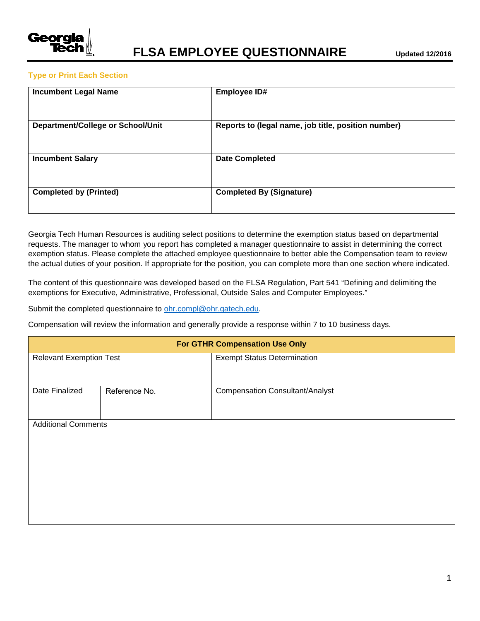

## **Type or Print Each Section**

| <b>Incumbent Legal Name</b>       | <b>Employee ID#</b>                                 |
|-----------------------------------|-----------------------------------------------------|
| Department/College or School/Unit | Reports to (legal name, job title, position number) |
| <b>Incumbent Salary</b>           | <b>Date Completed</b>                               |
| <b>Completed by (Printed)</b>     | <b>Completed By (Signature)</b>                     |

Georgia Tech Human Resources is auditing select positions to determine the exemption status based on departmental requests. The manager to whom you report has completed a manager questionnaire to assist in determining the correct exemption status. Please complete the attached employee questionnaire to better able the Compensation team to review the actual duties of your position. If appropriate for the position, you can complete more than one section where indicated.

The content of this questionnaire was developed based on the FLSA Regulation, Part 541 "Defining and delimiting the exemptions for Executive, Administrative, Professional, Outside Sales and Computer Employees."

Submit the completed questionnaire to [ohr.compl@ohr.gatech.edu.](mailto:ohr.compl@ohr.gatech.edu)

Compensation will review the information and generally provide a response within 7 to 10 business days.

| <b>For GTHR Compensation Use Only</b> |               |                                        |  |  |  |
|---------------------------------------|---------------|----------------------------------------|--|--|--|
| <b>Relevant Exemption Test</b>        |               | <b>Exempt Status Determination</b>     |  |  |  |
|                                       |               |                                        |  |  |  |
| Date Finalized                        | Reference No. | <b>Compensation Consultant/Analyst</b> |  |  |  |
|                                       |               |                                        |  |  |  |
| <b>Additional Comments</b>            |               |                                        |  |  |  |
|                                       |               |                                        |  |  |  |
|                                       |               |                                        |  |  |  |
|                                       |               |                                        |  |  |  |
|                                       |               |                                        |  |  |  |
|                                       |               |                                        |  |  |  |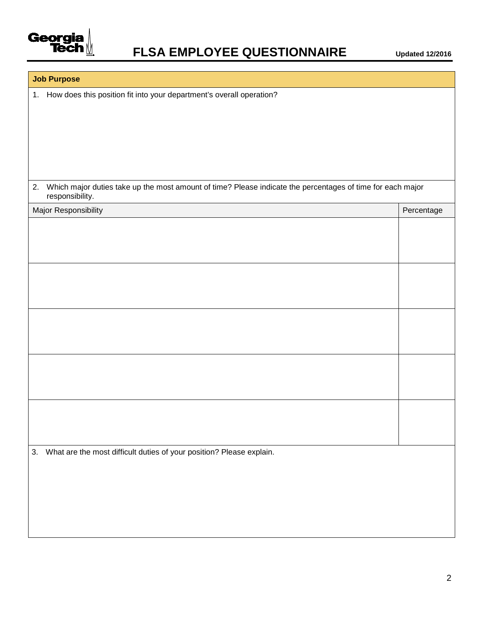

## **Job Purpose**

1. How does this position fit into your department's overall operation?

2. Which major duties take up the most amount of time? Please indicate the percentages of time for each major responsibility.

| Major Responsibility                                                       | Percentage |
|----------------------------------------------------------------------------|------------|
|                                                                            |            |
|                                                                            |            |
|                                                                            |            |
|                                                                            |            |
|                                                                            |            |
|                                                                            |            |
|                                                                            |            |
|                                                                            |            |
|                                                                            |            |
|                                                                            |            |
|                                                                            |            |
|                                                                            |            |
|                                                                            |            |
|                                                                            |            |
|                                                                            |            |
|                                                                            |            |
| What are the most difficult duties of your position? Please explain.<br>3. |            |
|                                                                            |            |
|                                                                            |            |
|                                                                            |            |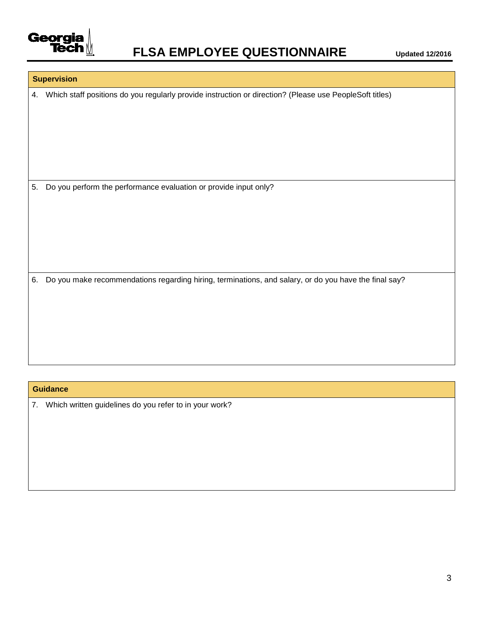

## **Supervision**

4. Which staff positions do you regularly provide instruction or direction? (Please use PeopleSoft titles)

5. Do you perform the performance evaluation or provide input only?

6. Do you make recommendations regarding hiring, terminations, and salary, or do you have the final say?

## **Guidance**

7. Which written guidelines do you refer to in your work?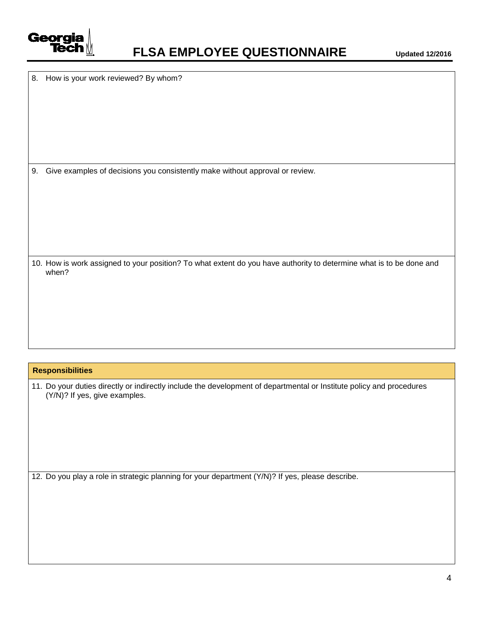

8. How is your work reviewed? By whom?

9. Give examples of decisions you consistently make without approval or review.

10. How is work assigned to your position? To what extent do you have authority to determine what is to be done and when?

#### **Responsibilities**

11. Do your duties directly or indirectly include the development of departmental or Institute policy and procedures (Y/N)? If yes, give examples.

12. Do you play a role in strategic planning for your department (Y/N)? If yes, please describe.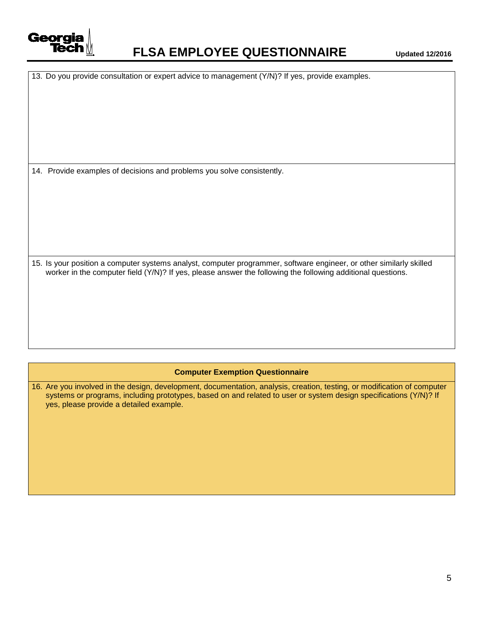

## **FLSA EMPLOYEE QUESTIONNAIRE Updated 12/2016**

|  |  |  |  | 13. Do you provide consultation or expert advice to management (Y/N)? If yes, provide examples. |
|--|--|--|--|-------------------------------------------------------------------------------------------------|
|  |  |  |  |                                                                                                 |

14. Provide examples of decisions and problems you solve consistently.

15. Is your position a computer systems analyst, computer programmer, software engineer, or other similarly skilled worker in the computer field (Y/N)? If yes, please answer the following the following additional questions.

#### **Computer Exemption Questionnaire**

16. Are you involved in the design, development, documentation, analysis, creation, testing, or modification of computer systems or programs, including prototypes, based on and related to user or system design specifications (Y/N)? If yes, please provide a detailed example.